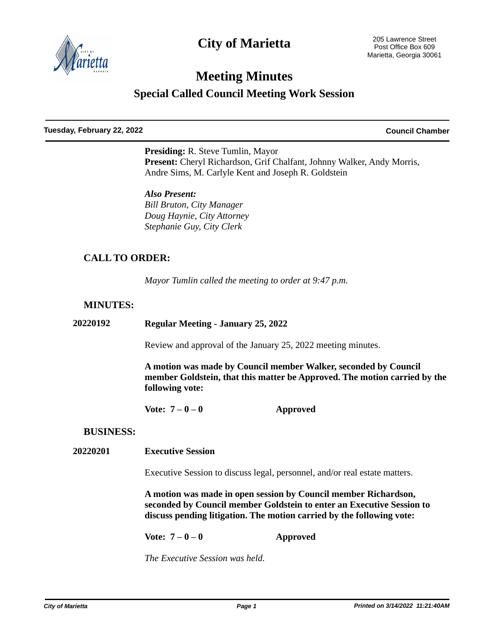

## **City of Marietta**

# **Meeting Minutes**

**Special Called Council Meeting Work Session**

**Tuesday, February 22, 2022 Council Chamber**

**Presiding:** R. Steve Tumlin, Mayor Present: Cheryl Richardson, Grif Chalfant, Johnny Walker, Andy Morris, Andre Sims, M. Carlyle Kent and Joseph R. Goldstein

*Also Present: Bill Bruton, City Manager Doug Haynie, City Attorney Stephanie Guy, City Clerk*

## **CALL TO ORDER:**

*Mayor Tumlin called the meeting to order at 9:47 p.m.*

#### **MINUTES:**

**20220192 Regular Meeting - January 25, 2022**

Review and approval of the January 25, 2022 meeting minutes.

**A motion was made by Council member Walker, seconded by Council member Goldstein, that this matter be Approved. The motion carried by the following vote:**

**Vote: 7 – 0 – 0 Approved**

#### **BUSINESS:**

**20220201 Executive Session**

Executive Session to discuss legal, personnel, and/or real estate matters.

**A motion was made in open session by Council member Richardson, seconded by Council member Goldstein to enter an Executive Session to discuss pending litigation. The motion carried by the following vote:**

**Vote: 7 – 0 – 0 Approved**

*The Executive Session was held.*